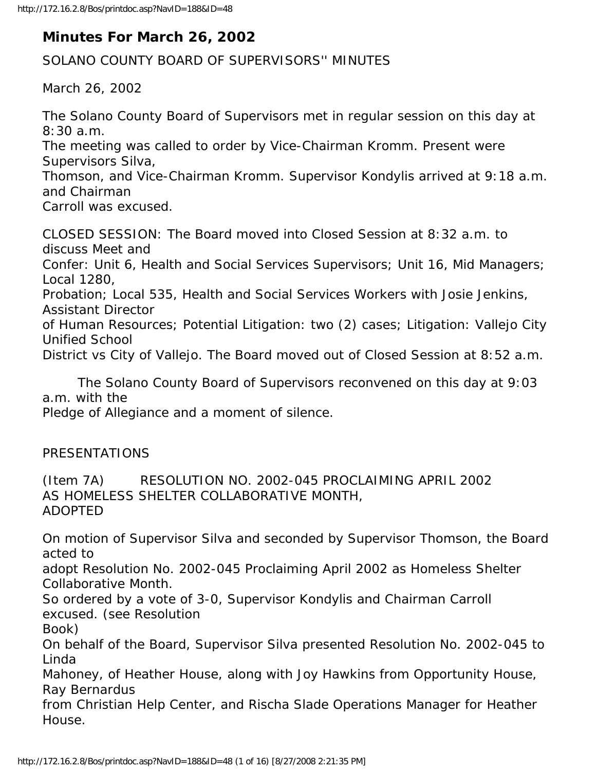# **Minutes For March 26, 2002**

SOLANO COUNTY BOARD OF SUPERVISORS'' MINUTES

March 26, 2002

The Solano County Board of Supervisors met in regular session on this day at 8:30 a.m.

The meeting was called to order by Vice-Chairman Kromm. Present were Supervisors Silva,

Thomson, and Vice-Chairman Kromm. Supervisor Kondylis arrived at 9:18 a.m. and Chairman

Carroll was excused.

CLOSED SESSION: The Board moved into Closed Session at 8:32 a.m. to discuss Meet and

Confer: Unit 6, Health and Social Services Supervisors; Unit 16, Mid Managers; Local 1280,

Probation; Local 535, Health and Social Services Workers with Josie Jenkins, Assistant Director

of Human Resources; Potential Litigation: two (2) cases; Litigation: Vallejo City Unified School

District vs City of Vallejo. The Board moved out of Closed Session at 8:52 a.m.

 The Solano County Board of Supervisors reconvened on this day at 9:03 a.m. with the

Pledge of Allegiance and a moment of silence.

## PRESENTATIONS

(Item 7A) RESOLUTION NO. 2002-045 PROCLAIMING APRIL 2002 AS HOMELESS SHELTER COLLABORATIVE MONTH, ADOPTED

On motion of Supervisor Silva and seconded by Supervisor Thomson, the Board acted to

adopt Resolution No. 2002-045 Proclaiming April 2002 as Homeless Shelter Collaborative Month.

So ordered by a vote of 3-0, Supervisor Kondylis and Chairman Carroll excused. (see Resolution

Book)

On behalf of the Board, Supervisor Silva presented Resolution No. 2002-045 to Linda

Mahoney, of Heather House, along with Joy Hawkins from Opportunity House, Ray Bernardus

from Christian Help Center, and Rischa Slade Operations Manager for Heather House.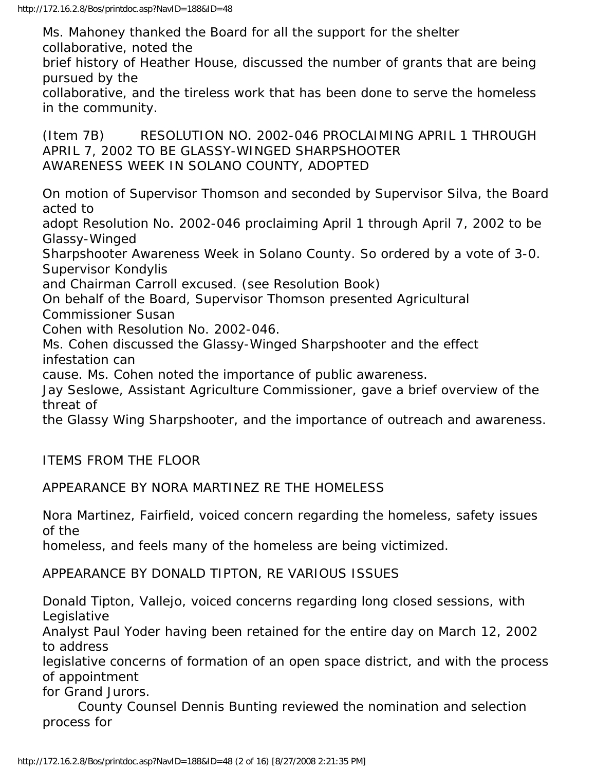Ms. Mahoney thanked the Board for all the support for the shelter collaborative, noted the

brief history of Heather House, discussed the number of grants that are being pursued by the

collaborative, and the tireless work that has been done to serve the homeless in the community.

(Item 7B) RESOLUTION NO. 2002-046 PROCLAIMING APRIL 1 THROUGH APRIL 7, 2002 TO BE GLASSY-WINGED SHARPSHOOTER AWARENESS WEEK IN SOLANO COUNTY, ADOPTED

On motion of Supervisor Thomson and seconded by Supervisor Silva, the Board acted to

adopt Resolution No. 2002-046 proclaiming April 1 through April 7, 2002 to be Glassy-Winged

Sharpshooter Awareness Week in Solano County. So ordered by a vote of 3-0. Supervisor Kondylis

and Chairman Carroll excused. (see Resolution Book)

On behalf of the Board, Supervisor Thomson presented Agricultural

Commissioner Susan

Cohen with Resolution No. 2002-046.

Ms. Cohen discussed the Glassy-Winged Sharpshooter and the effect infestation can

cause. Ms. Cohen noted the importance of public awareness.

Jay Seslowe, Assistant Agriculture Commissioner, gave a brief overview of the threat of

the Glassy Wing Sharpshooter, and the importance of outreach and awareness.

ITEMS FROM THE FLOOR

APPEARANCE BY NORA MARTINEZ RE THE HOMELESS

Nora Martinez, Fairfield, voiced concern regarding the homeless, safety issues of the

homeless, and feels many of the homeless are being victimized.

APPEARANCE BY DONALD TIPTON, RE VARIOUS ISSUES

Donald Tipton, Vallejo, voiced concerns regarding long closed sessions, with Legislative

Analyst Paul Yoder having been retained for the entire day on March 12, 2002 to address

legislative concerns of formation of an open space district, and with the process of appointment

for Grand Jurors.

 County Counsel Dennis Bunting reviewed the nomination and selection process for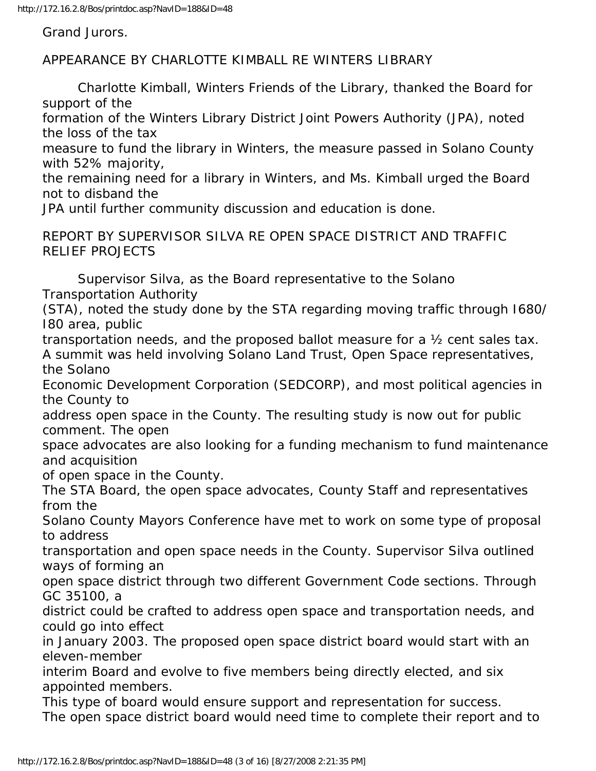Grand Jurors.

APPEARANCE BY CHARLOTTE KIMBALL RE WINTERS LIBRARY

 Charlotte Kimball, Winters Friends of the Library, thanked the Board for support of the

formation of the Winters Library District Joint Powers Authority (JPA), noted the loss of the tax

measure to fund the library in Winters, the measure passed in Solano County with 52% majority,

the remaining need for a library in Winters, and Ms. Kimball urged the Board not to disband the

JPA until further community discussion and education is done.

REPORT BY SUPERVISOR SILVA RE OPEN SPACE DISTRICT AND TRAFFIC RELIEF PROJECTS

 Supervisor Silva, as the Board representative to the Solano Transportation Authority

(STA), noted the study done by the STA regarding moving traffic through I680/ I80 area, public

transportation needs, and the proposed ballot measure for a ½ cent sales tax. A summit was held involving Solano Land Trust, Open Space representatives, the Solano

Economic Development Corporation (SEDCORP), and most political agencies in the County to

address open space in the County. The resulting study is now out for public comment. The open

space advocates are also looking for a funding mechanism to fund maintenance and acquisition

of open space in the County.

The STA Board, the open space advocates, County Staff and representatives from the

Solano County Mayors Conference have met to work on some type of proposal to address

transportation and open space needs in the County. Supervisor Silva outlined ways of forming an

open space district through two different Government Code sections. Through GC 35100, a

district could be crafted to address open space and transportation needs, and could go into effect

in January 2003. The proposed open space district board would start with an eleven-member

interim Board and evolve to five members being directly elected, and six appointed members.

This type of board would ensure support and representation for success.

The open space district board would need time to complete their report and to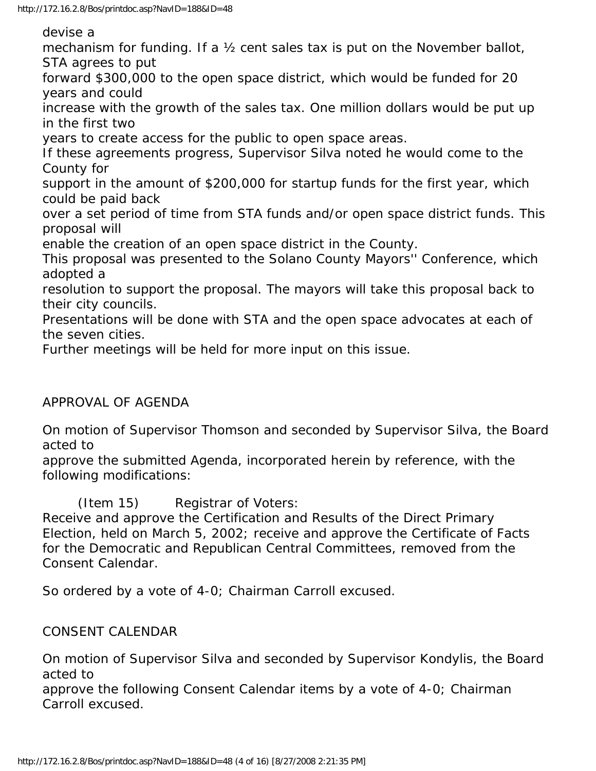devise a

mechanism for funding. If a 1/2 cent sales tax is put on the November ballot, STA agrees to put

forward \$300,000 to the open space district, which would be funded for 20 years and could

increase with the growth of the sales tax. One million dollars would be put up in the first two

years to create access for the public to open space areas.

If these agreements progress, Supervisor Silva noted he would come to the County for

support in the amount of \$200,000 for startup funds for the first year, which could be paid back

over a set period of time from STA funds and/or open space district funds. This proposal will

enable the creation of an open space district in the County.

This proposal was presented to the Solano County Mayors'' Conference, which adopted a

resolution to support the proposal. The mayors will take this proposal back to their city councils.

Presentations will be done with STA and the open space advocates at each of the seven cities.

Further meetings will be held for more input on this issue.

#### APPROVAL OF AGENDA

On motion of Supervisor Thomson and seconded by Supervisor Silva, the Board acted to

approve the submitted Agenda, incorporated herein by reference, with the following modifications:

(Item 15) Registrar of Voters:

Receive and approve the Certification and Results of the Direct Primary Election, held on March 5, 2002; receive and approve the Certificate of Facts for the Democratic and Republican Central Committees, removed from the Consent Calendar.

So ordered by a vote of 4-0; Chairman Carroll excused.

#### CONSENT CALENDAR

On motion of Supervisor Silva and seconded by Supervisor Kondylis, the Board acted to

approve the following Consent Calendar items by a vote of 4-0; Chairman Carroll excused.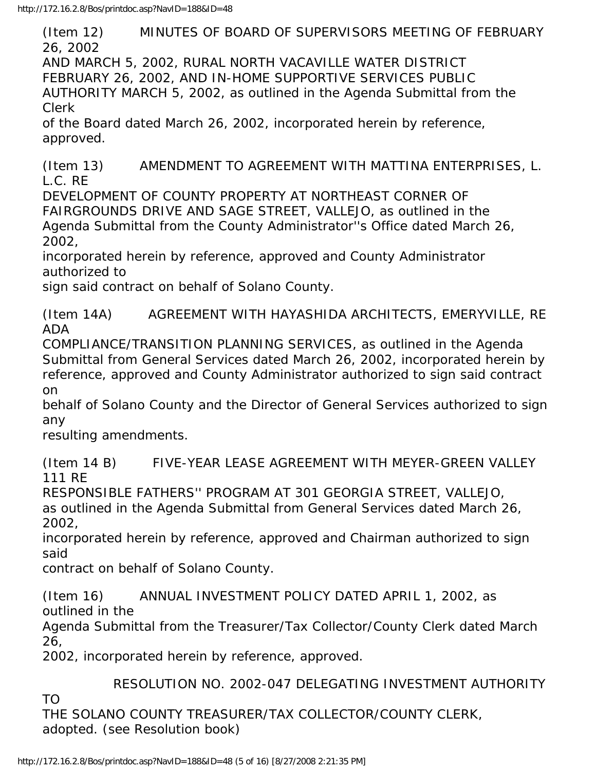(Item 12) MINUTES OF BOARD OF SUPERVISORS MEETING OF FEBRUARY 26, 2002 AND MARCH 5, 2002, RURAL NORTH VACAVILLE WATER DISTRICT FEBRUARY 26, 2002, AND IN-HOME SUPPORTIVE SERVICES PUBLIC AUTHORITY MARCH 5, 2002, as outlined in the Agenda Submittal from the Clerk of the Board dated March 26, 2002, incorporated herein by reference, approved.

(Item 13) AMENDMENT TO AGREEMENT WITH MATTINA ENTERPRISES, L. L.C. RE

DEVELOPMENT OF COUNTY PROPERTY AT NORTHEAST CORNER OF FAIRGROUNDS DRIVE AND SAGE STREET, VALLEJO, as outlined in the Agenda Submittal from the County Administrator''s Office dated March 26, 2002,

incorporated herein by reference, approved and County Administrator authorized to

sign said contract on behalf of Solano County.

(Item 14A) AGREEMENT WITH HAYASHIDA ARCHITECTS, EMERYVILLE, RE ADA

COMPLIANCE/TRANSITION PLANNING SERVICES, as outlined in the Agenda Submittal from General Services dated March 26, 2002, incorporated herein by reference, approved and County Administrator authorized to sign said contract on

behalf of Solano County and the Director of General Services authorized to sign any

resulting amendments.

(Item 14 B) FIVE-YEAR LEASE AGREEMENT WITH MEYER-GREEN VALLEY 111 RE

RESPONSIBLE FATHERS'' PROGRAM AT 301 GEORGIA STREET, VALLEJO, as outlined in the Agenda Submittal from General Services dated March 26, 2002,

incorporated herein by reference, approved and Chairman authorized to sign said

contract on behalf of Solano County.

(Item 16) ANNUAL INVESTMENT POLICY DATED APRIL 1, 2002, as outlined in the

Agenda Submittal from the Treasurer/Tax Collector/County Clerk dated March 26,

2002, incorporated herein by reference, approved.

RESOLUTION NO. 2002-047 DELEGATING INVESTMENT AUTHORITY

TO

THE SOLANO COUNTY TREASURER/TAX COLLECTOR/COUNTY CLERK, adopted. (see Resolution book)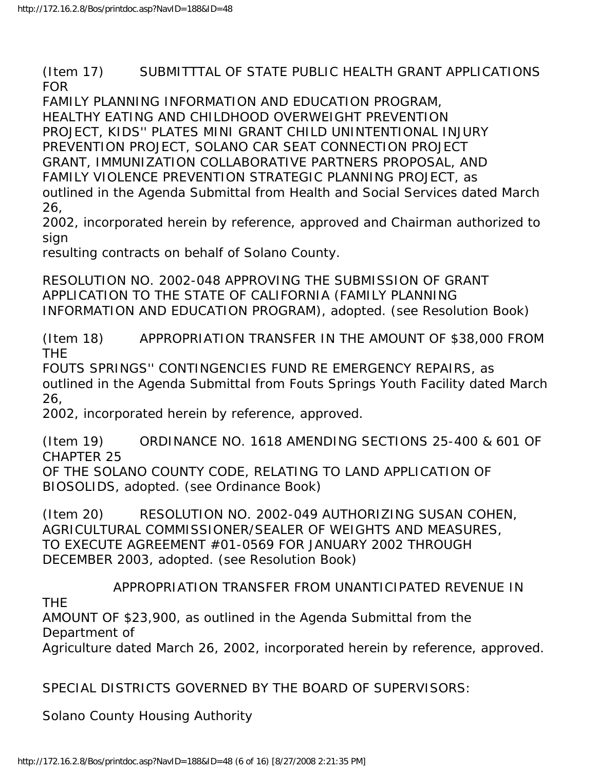(Item 17) SUBMITTTAL OF STATE PUBLIC HEALTH GRANT APPLICATIONS FOR

FAMILY PLANNING INFORMATION AND EDUCATION PROGRAM, HEALTHY EATING AND CHILDHOOD OVERWEIGHT PREVENTION PROJECT, KIDS'' PLATES MINI GRANT CHILD UNINTENTIONAL INJURY PREVENTION PROJECT, SOLANO CAR SEAT CONNECTION PROJECT GRANT, IMMUNIZATION COLLABORATIVE PARTNERS PROPOSAL, AND FAMILY VIOLENCE PREVENTION STRATEGIC PLANNING PROJECT, as outlined in the Agenda Submittal from Health and Social Services dated March 26,

2002, incorporated herein by reference, approved and Chairman authorized to sign

resulting contracts on behalf of Solano County.

RESOLUTION NO. 2002-048 APPROVING THE SUBMISSION OF GRANT APPLICATION TO THE STATE OF CALIFORNIA (FAMILY PLANNING INFORMATION AND EDUCATION PROGRAM), adopted. (see Resolution Book)

(Item 18) APPROPRIATION TRANSFER IN THE AMOUNT OF \$38,000 FROM THE

FOUTS SPRINGS'' CONTINGENCIES FUND RE EMERGENCY REPAIRS, as outlined in the Agenda Submittal from Fouts Springs Youth Facility dated March 26,

2002, incorporated herein by reference, approved.

(Item 19) ORDINANCE NO. 1618 AMENDING SECTIONS 25-400 & 601 OF CHAPTER 25

OF THE SOLANO COUNTY CODE, RELATING TO LAND APPLICATION OF BIOSOLIDS, adopted. (see Ordinance Book)

(Item 20) RESOLUTION NO. 2002-049 AUTHORIZING SUSAN COHEN, AGRICULTURAL COMMISSIONER/SEALER OF WEIGHTS AND MEASURES, TO EXECUTE AGREEMENT #01-0569 FOR JANUARY 2002 THROUGH DECEMBER 2003, adopted. (see Resolution Book)

THE

APPROPRIATION TRANSFER FROM UNANTICIPATED REVENUE IN

AMOUNT OF \$23,900, as outlined in the Agenda Submittal from the Department of

Agriculture dated March 26, 2002, incorporated herein by reference, approved.

SPECIAL DISTRICTS GOVERNED BY THE BOARD OF SUPERVISORS:

Solano County Housing Authority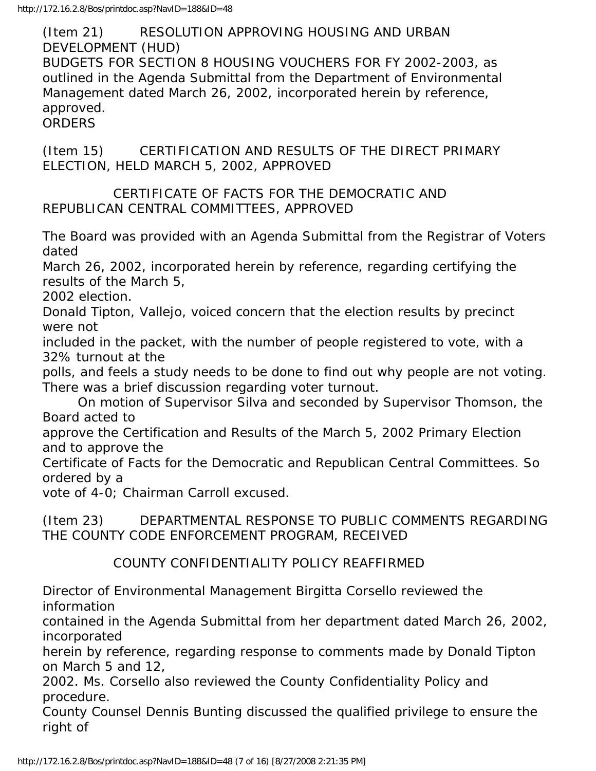(Item 21) RESOLUTION APPROVING HOUSING AND URBAN DEVELOPMENT (HUD) BUDGETS FOR SECTION 8 HOUSING VOUCHERS FOR FY 2002-2003, as outlined in the Agenda Submittal from the Department of Environmental Management dated March 26, 2002, incorporated herein by reference, approved. ORDERS

(Item 15) CERTIFICATION AND RESULTS OF THE DIRECT PRIMARY ELECTION, HELD MARCH 5, 2002, APPROVED

#### CERTIFICATE OF FACTS FOR THE DEMOCRATIC AND REPUBLICAN CENTRAL COMMITTEES, APPROVED

The Board was provided with an Agenda Submittal from the Registrar of Voters dated

March 26, 2002, incorporated herein by reference, regarding certifying the results of the March 5,

2002 election.

Donald Tipton, Vallejo, voiced concern that the election results by precinct were not

included in the packet, with the number of people registered to vote, with a 32% turnout at the

polls, and feels a study needs to be done to find out why people are not voting. There was a brief discussion regarding voter turnout.

 On motion of Supervisor Silva and seconded by Supervisor Thomson, the Board acted to

approve the Certification and Results of the March 5, 2002 Primary Election and to approve the

Certificate of Facts for the Democratic and Republican Central Committees. So ordered by a

vote of 4-0; Chairman Carroll excused.

(Item 23) DEPARTMENTAL RESPONSE TO PUBLIC COMMENTS REGARDING THE COUNTY CODE ENFORCEMENT PROGRAM, RECEIVED

### COUNTY CONFIDENTIALITY POLICY REAFFIRMED

Director of Environmental Management Birgitta Corsello reviewed the information

contained in the Agenda Submittal from her department dated March 26, 2002, incorporated

herein by reference, regarding response to comments made by Donald Tipton on March 5 and 12,

2002. Ms. Corsello also reviewed the County Confidentiality Policy and procedure.

County Counsel Dennis Bunting discussed the qualified privilege to ensure the right of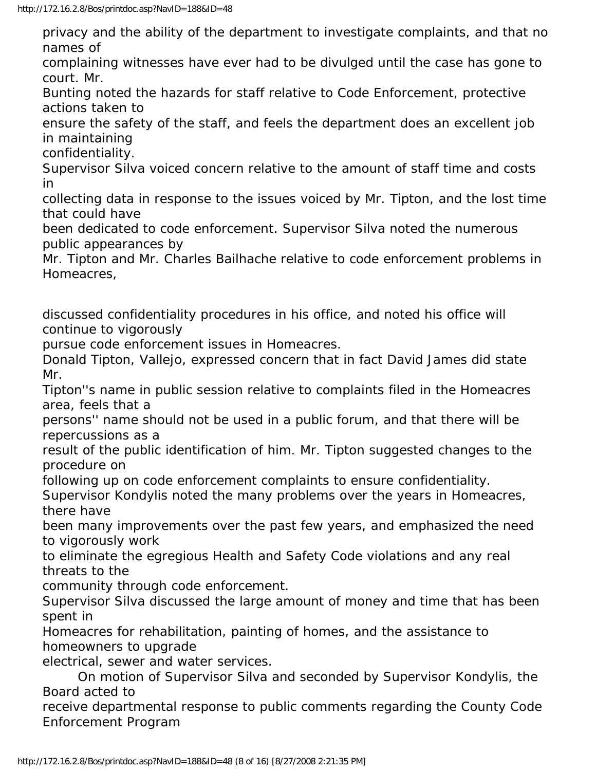privacy and the ability of the department to investigate complaints, and that no names of

complaining witnesses have ever had to be divulged until the case has gone to court. Mr.

Bunting noted the hazards for staff relative to Code Enforcement, protective actions taken to

ensure the safety of the staff, and feels the department does an excellent job in maintaining

confidentiality.

Supervisor Silva voiced concern relative to the amount of staff time and costs in

collecting data in response to the issues voiced by Mr. Tipton, and the lost time that could have

been dedicated to code enforcement. Supervisor Silva noted the numerous public appearances by

Mr. Tipton and Mr. Charles Bailhache relative to code enforcement problems in Homeacres,

discussed confidentiality procedures in his office, and noted his office will continue to vigorously

pursue code enforcement issues in Homeacres.

Donald Tipton, Vallejo, expressed concern that in fact David James did state Mr.

Tipton''s name in public session relative to complaints filed in the Homeacres area, feels that a

persons'' name should not be used in a public forum, and that there will be repercussions as a

result of the public identification of him. Mr. Tipton suggested changes to the procedure on

following up on code enforcement complaints to ensure confidentiality.

Supervisor Kondylis noted the many problems over the years in Homeacres, there have

been many improvements over the past few years, and emphasized the need to vigorously work

to eliminate the egregious Health and Safety Code violations and any real threats to the

community through code enforcement.

Supervisor Silva discussed the large amount of money and time that has been spent in

Homeacres for rehabilitation, painting of homes, and the assistance to homeowners to upgrade

electrical, sewer and water services.

 On motion of Supervisor Silva and seconded by Supervisor Kondylis, the Board acted to

receive departmental response to public comments regarding the County Code Enforcement Program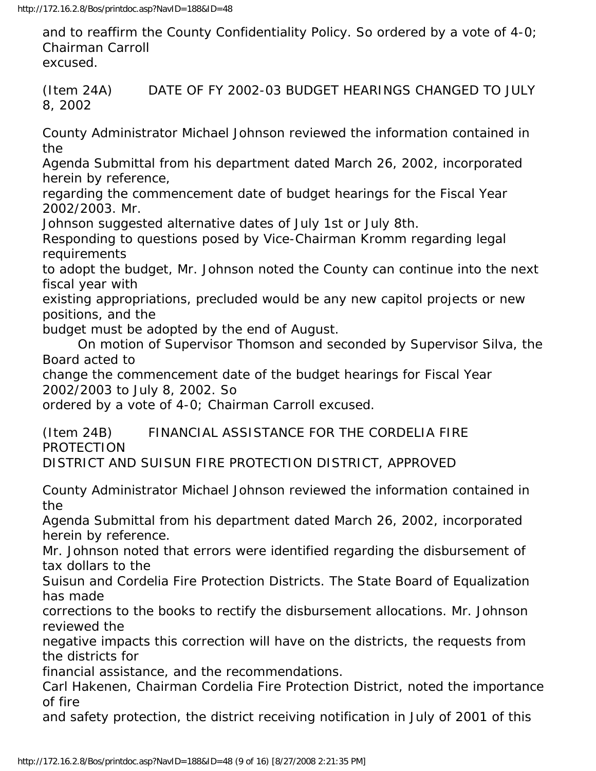and to reaffirm the County Confidentiality Policy. So ordered by a vote of 4-0; Chairman Carroll excused.

(Item 24A) DATE OF FY 2002-03 BUDGET HEARINGS CHANGED TO JULY 8, 2002

County Administrator Michael Johnson reviewed the information contained in the

Agenda Submittal from his department dated March 26, 2002, incorporated herein by reference,

regarding the commencement date of budget hearings for the Fiscal Year 2002/2003. Mr.

Johnson suggested alternative dates of July 1st or July 8th.

Responding to questions posed by Vice-Chairman Kromm regarding legal requirements

to adopt the budget, Mr. Johnson noted the County can continue into the next fiscal year with

existing appropriations, precluded would be any new capitol projects or new positions, and the

budget must be adopted by the end of August.

 On motion of Supervisor Thomson and seconded by Supervisor Silva, the Board acted to

change the commencement date of the budget hearings for Fiscal Year 2002/2003 to July 8, 2002. So

ordered by a vote of 4-0; Chairman Carroll excused.

(Item 24B) FINANCIAL ASSISTANCE FOR THE CORDELIA FIRE PROTECTION

DISTRICT AND SUISUN FIRE PROTECTION DISTRICT, APPROVED

County Administrator Michael Johnson reviewed the information contained in the

Agenda Submittal from his department dated March 26, 2002, incorporated herein by reference.

Mr. Johnson noted that errors were identified regarding the disbursement of tax dollars to the

Suisun and Cordelia Fire Protection Districts. The State Board of Equalization has made

corrections to the books to rectify the disbursement allocations. Mr. Johnson reviewed the

negative impacts this correction will have on the districts, the requests from the districts for

financial assistance, and the recommendations.

Carl Hakenen, Chairman Cordelia Fire Protection District, noted the importance of fire

and safety protection, the district receiving notification in July of 2001 of this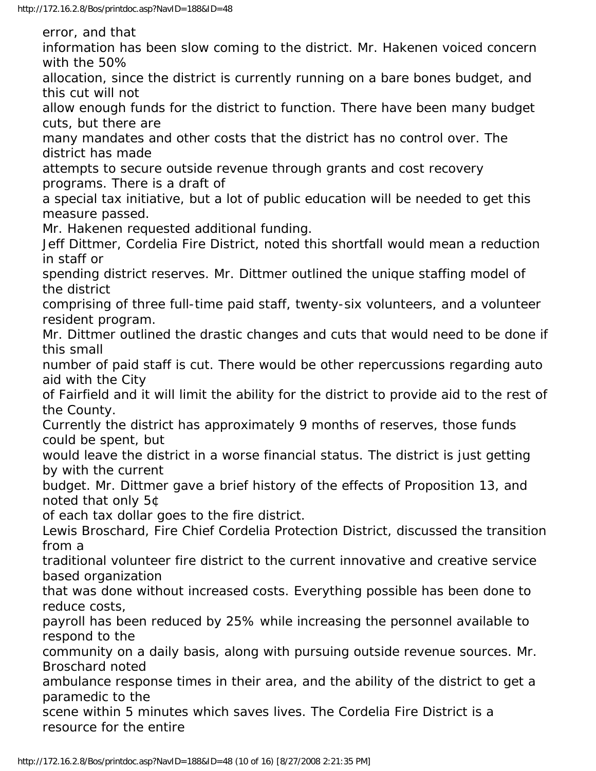error, and that

information has been slow coming to the district. Mr. Hakenen voiced concern with the 50%

allocation, since the district is currently running on a bare bones budget, and this cut will not

allow enough funds for the district to function. There have been many budget cuts, but there are

many mandates and other costs that the district has no control over. The district has made

attempts to secure outside revenue through grants and cost recovery programs. There is a draft of

a special tax initiative, but a lot of public education will be needed to get this measure passed.

Mr. Hakenen requested additional funding.

Jeff Dittmer, Cordelia Fire District, noted this shortfall would mean a reduction in staff or

spending district reserves. Mr. Dittmer outlined the unique staffing model of the district

comprising of three full-time paid staff, twenty-six volunteers, and a volunteer resident program.

Mr. Dittmer outlined the drastic changes and cuts that would need to be done if this small

number of paid staff is cut. There would be other repercussions regarding auto aid with the City

of Fairfield and it will limit the ability for the district to provide aid to the rest of the County.

Currently the district has approximately 9 months of reserves, those funds could be spent, but

would leave the district in a worse financial status. The district is just getting by with the current

budget. Mr. Dittmer gave a brief history of the effects of Proposition 13, and noted that only 5¢

of each tax dollar goes to the fire district.

Lewis Broschard, Fire Chief Cordelia Protection District, discussed the transition from a

traditional volunteer fire district to the current innovative and creative service based organization

that was done without increased costs. Everything possible has been done to reduce costs,

payroll has been reduced by 25% while increasing the personnel available to respond to the

community on a daily basis, along with pursuing outside revenue sources. Mr. Broschard noted

ambulance response times in their area, and the ability of the district to get a paramedic to the

scene within 5 minutes which saves lives. The Cordelia Fire District is a resource for the entire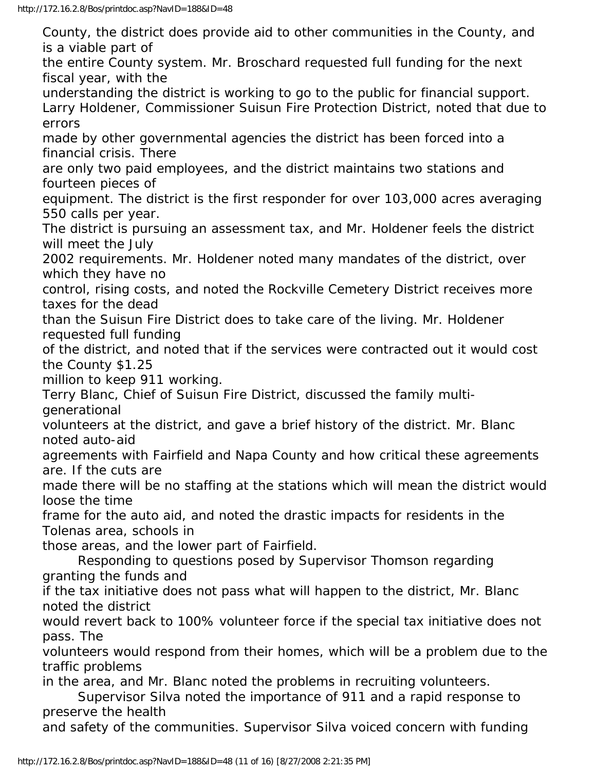County, the district does provide aid to other communities in the County, and is a viable part of the entire County system. Mr. Broschard requested full funding for the next fiscal year, with the understanding the district is working to go to the public for financial support. Larry Holdener, Commissioner Suisun Fire Protection District, noted that due to errors made by other governmental agencies the district has been forced into a financial crisis. There are only two paid employees, and the district maintains two stations and fourteen pieces of equipment. The district is the first responder for over 103,000 acres averaging 550 calls per year. The district is pursuing an assessment tax, and Mr. Holdener feels the district will meet the July 2002 requirements. Mr. Holdener noted many mandates of the district, over which they have no control, rising costs, and noted the Rockville Cemetery District receives more taxes for the dead than the Suisun Fire District does to take care of the living. Mr. Holdener requested full funding of the district, and noted that if the services were contracted out it would cost the County \$1.25 million to keep 911 working. Terry Blanc, Chief of Suisun Fire District, discussed the family multigenerational volunteers at the district, and gave a brief history of the district. Mr. Blanc noted auto-aid agreements with Fairfield and Napa County and how critical these agreements are. If the cuts are made there will be no staffing at the stations which will mean the district would loose the time frame for the auto aid, and noted the drastic impacts for residents in the Tolenas area, schools in those areas, and the lower part of Fairfield. Responding to questions posed by Supervisor Thomson regarding granting the funds and if the tax initiative does not pass what will happen to the district, Mr. Blanc noted the district would revert back to 100% volunteer force if the special tax initiative does not pass. The volunteers would respond from their homes, which will be a problem due to the traffic problems in the area, and Mr. Blanc noted the problems in recruiting volunteers. Supervisor Silva noted the importance of 911 and a rapid response to preserve the health and safety of the communities. Supervisor Silva voiced concern with funding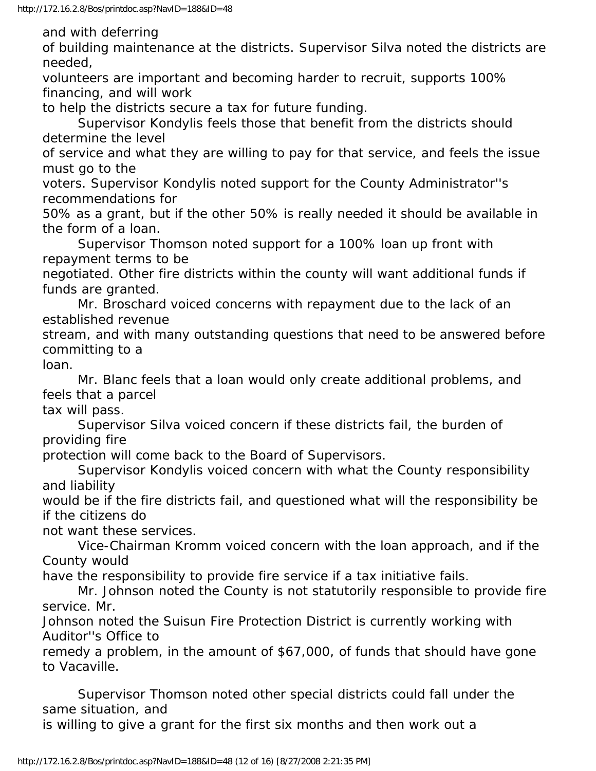and with deferring

of building maintenance at the districts. Supervisor Silva noted the districts are needed,

volunteers are important and becoming harder to recruit, supports 100% financing, and will work

to help the districts secure a tax for future funding.

 Supervisor Kondylis feels those that benefit from the districts should determine the level

of service and what they are willing to pay for that service, and feels the issue must go to the

voters. Supervisor Kondylis noted support for the County Administrator''s recommendations for

50% as a grant, but if the other 50% is really needed it should be available in the form of a loan.

 Supervisor Thomson noted support for a 100% loan up front with repayment terms to be

negotiated. Other fire districts within the county will want additional funds if funds are granted.

 Mr. Broschard voiced concerns with repayment due to the lack of an established revenue

stream, and with many outstanding questions that need to be answered before committing to a

loan.

 Mr. Blanc feels that a loan would only create additional problems, and feels that a parcel

tax will pass.

 Supervisor Silva voiced concern if these districts fail, the burden of providing fire

protection will come back to the Board of Supervisors.

 Supervisor Kondylis voiced concern with what the County responsibility and liability

would be if the fire districts fail, and questioned what will the responsibility be if the citizens do

not want these services.

 Vice-Chairman Kromm voiced concern with the loan approach, and if the County would

have the responsibility to provide fire service if a tax initiative fails.

 Mr. Johnson noted the County is not statutorily responsible to provide fire service. Mr.

Johnson noted the Suisun Fire Protection District is currently working with Auditor''s Office to

remedy a problem, in the amount of \$67,000, of funds that should have gone to Vacaville.

 Supervisor Thomson noted other special districts could fall under the same situation, and

is willing to give a grant for the first six months and then work out a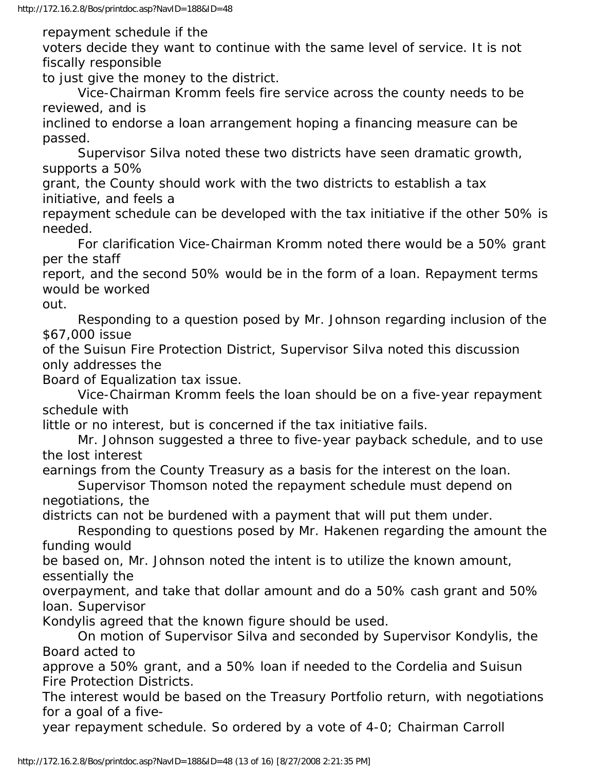repayment schedule if the

voters decide they want to continue with the same level of service. It is not fiscally responsible

to just give the money to the district.

 Vice-Chairman Kromm feels fire service across the county needs to be reviewed, and is

inclined to endorse a loan arrangement hoping a financing measure can be passed.

 Supervisor Silva noted these two districts have seen dramatic growth, supports a 50%

grant, the County should work with the two districts to establish a tax initiative, and feels a

repayment schedule can be developed with the tax initiative if the other 50% is needed.

 For clarification Vice-Chairman Kromm noted there would be a 50% grant per the staff

report, and the second 50% would be in the form of a loan. Repayment terms would be worked

out.

 Responding to a question posed by Mr. Johnson regarding inclusion of the \$67,000 issue

of the Suisun Fire Protection District, Supervisor Silva noted this discussion only addresses the

Board of Equalization tax issue.

 Vice-Chairman Kromm feels the loan should be on a five-year repayment schedule with

little or no interest, but is concerned if the tax initiative fails.

 Mr. Johnson suggested a three to five-year payback schedule, and to use the lost interest

earnings from the County Treasury as a basis for the interest on the loan.

 Supervisor Thomson noted the repayment schedule must depend on negotiations, the

districts can not be burdened with a payment that will put them under.

 Responding to questions posed by Mr. Hakenen regarding the amount the funding would

be based on, Mr. Johnson noted the intent is to utilize the known amount, essentially the

overpayment, and take that dollar amount and do a 50% cash grant and 50% loan. Supervisor

Kondylis agreed that the known figure should be used.

 On motion of Supervisor Silva and seconded by Supervisor Kondylis, the Board acted to

approve a 50% grant, and a 50% loan if needed to the Cordelia and Suisun Fire Protection Districts.

The interest would be based on the Treasury Portfolio return, with negotiations for a goal of a five-

year repayment schedule. So ordered by a vote of 4-0; Chairman Carroll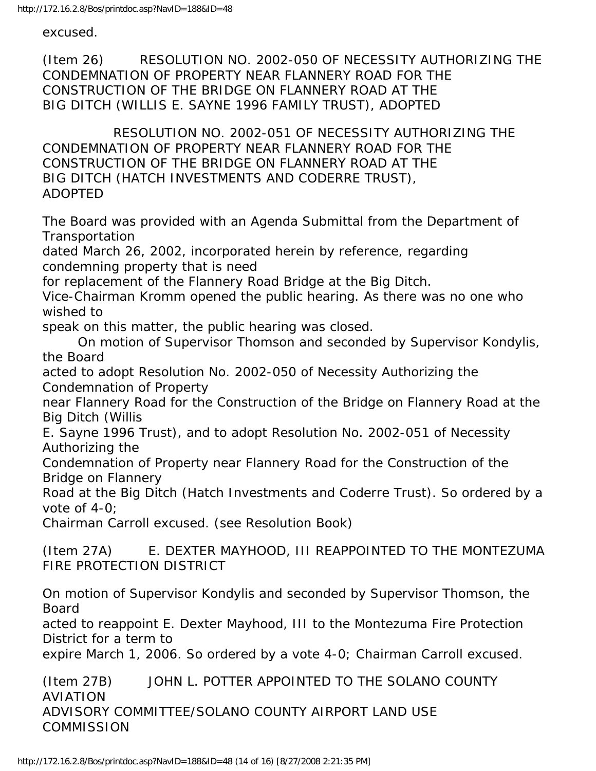excused.

(Item 26) RESOLUTION NO. 2002-050 OF NECESSITY AUTHORIZING THE CONDEMNATION OF PROPERTY NEAR FLANNERY ROAD FOR THE CONSTRUCTION OF THE BRIDGE ON FLANNERY ROAD AT THE BIG DITCH (WILLIS E. SAYNE 1996 FAMILY TRUST), ADOPTED

 RESOLUTION NO. 2002-051 OF NECESSITY AUTHORIZING THE CONDEMNATION OF PROPERTY NEAR FLANNERY ROAD FOR THE CONSTRUCTION OF THE BRIDGE ON FLANNERY ROAD AT THE BIG DITCH (HATCH INVESTMENTS AND CODERRE TRUST), ADOPTED

The Board was provided with an Agenda Submittal from the Department of **Transportation** 

dated March 26, 2002, incorporated herein by reference, regarding condemning property that is need

for replacement of the Flannery Road Bridge at the Big Ditch.

Vice-Chairman Kromm opened the public hearing. As there was no one who wished to

speak on this matter, the public hearing was closed.

 On motion of Supervisor Thomson and seconded by Supervisor Kondylis, the Board

acted to adopt Resolution No. 2002-050 of Necessity Authorizing the Condemnation of Property

near Flannery Road for the Construction of the Bridge on Flannery Road at the Big Ditch (Willis

E. Sayne 1996 Trust), and to adopt Resolution No. 2002-051 of Necessity Authorizing the

Condemnation of Property near Flannery Road for the Construction of the Bridge on Flannery

Road at the Big Ditch (Hatch Investments and Coderre Trust). So ordered by a vote of 4-0;

Chairman Carroll excused. (see Resolution Book)

(Item 27A) E. DEXTER MAYHOOD, III REAPPOINTED TO THE MONTEZUMA FIRE PROTECTION DISTRICT

On motion of Supervisor Kondylis and seconded by Supervisor Thomson, the Board

acted to reappoint E. Dexter Mayhood, III to the Montezuma Fire Protection District for a term to

expire March 1, 2006. So ordered by a vote 4-0; Chairman Carroll excused.

(Item 27B) JOHN L. POTTER APPOINTED TO THE SOLANO COUNTY AVIATION ADVISORY COMMITTEE/SOLANO COUNTY AIRPORT LAND USE **COMMISSION**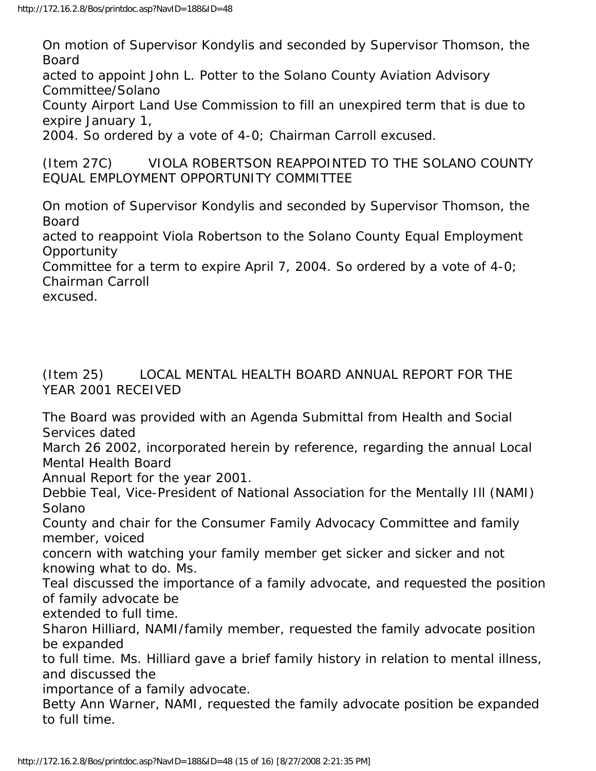On motion of Supervisor Kondylis and seconded by Supervisor Thomson, the Board acted to appoint John L. Potter to the Solano County Aviation Advisory Committee/Solano County Airport Land Use Commission to fill an unexpired term that is due to expire January 1, 2004. So ordered by a vote of 4-0; Chairman Carroll excused. (Item 27C) VIOLA ROBERTSON REAPPOINTED TO THE SOLANO COUNTY EQUAL EMPLOYMENT OPPORTUNITY COMMITTEE On motion of Supervisor Kondylis and seconded by Supervisor Thomson, the Board acted to reappoint Viola Robertson to the Solano County Equal Employment **Opportunity** Committee for a term to expire April 7, 2004. So ordered by a vote of 4-0; Chairman Carroll excused.

(Item 25) LOCAL MENTAL HEALTH BOARD ANNUAL REPORT FOR THE YEAR 2001 RECEIVED

The Board was provided with an Agenda Submittal from Health and Social Services dated

March 26 2002, incorporated herein by reference, regarding the annual Local Mental Health Board

Annual Report for the year 2001.

Debbie Teal, Vice-President of National Association for the Mentally Ill (NAMI) Solano

County and chair for the Consumer Family Advocacy Committee and family member, voiced

concern with watching your family member get sicker and sicker and not knowing what to do. Ms.

Teal discussed the importance of a family advocate, and requested the position of family advocate be

extended to full time.

Sharon Hilliard, NAMI/family member, requested the family advocate position be expanded

to full time. Ms. Hilliard gave a brief family history in relation to mental illness, and discussed the

importance of a family advocate.

Betty Ann Warner, NAMI, requested the family advocate position be expanded to full time.